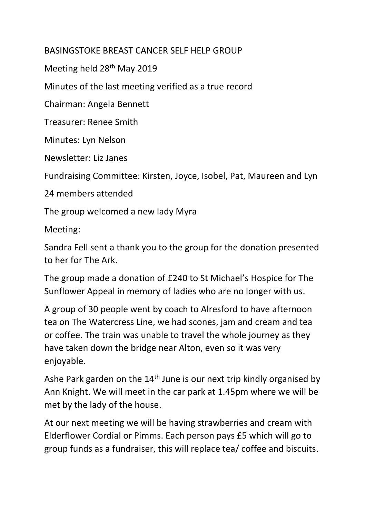## BASINGSTOKE BREAST CANCER SELF HELP GROUP

Meeting held 28<sup>th</sup> May 2019

Minutes of the last meeting verified as a true record

Chairman: Angela Bennett

Treasurer: Renee Smith

Minutes: Lyn Nelson

Newsletter: Liz Janes

Fundraising Committee: Kirsten, Joyce, Isobel, Pat, Maureen and Lyn

24 members attended

The group welcomed a new lady Myra

Meeting:

Sandra Fell sent a thank you to the group for the donation presented to her for The Ark.

The group made a donation of £240 to St Michael's Hospice for The Sunflower Appeal in memory of ladies who are no longer with us.

A group of 30 people went by coach to Alresford to have afternoon tea on The Watercress Line, we had scones, jam and cream and tea or coffee. The train was unable to travel the whole journey as they have taken down the bridge near Alton, even so it was very enjoyable.

Ashe Park garden on the 14<sup>th</sup> June is our next trip kindly organised by Ann Knight. We will meet in the car park at 1.45pm where we will be met by the lady of the house.

At our next meeting we will be having strawberries and cream with Elderflower Cordial or Pimms. Each person pays £5 which will go to group funds as a fundraiser, this will replace tea/ coffee and biscuits.